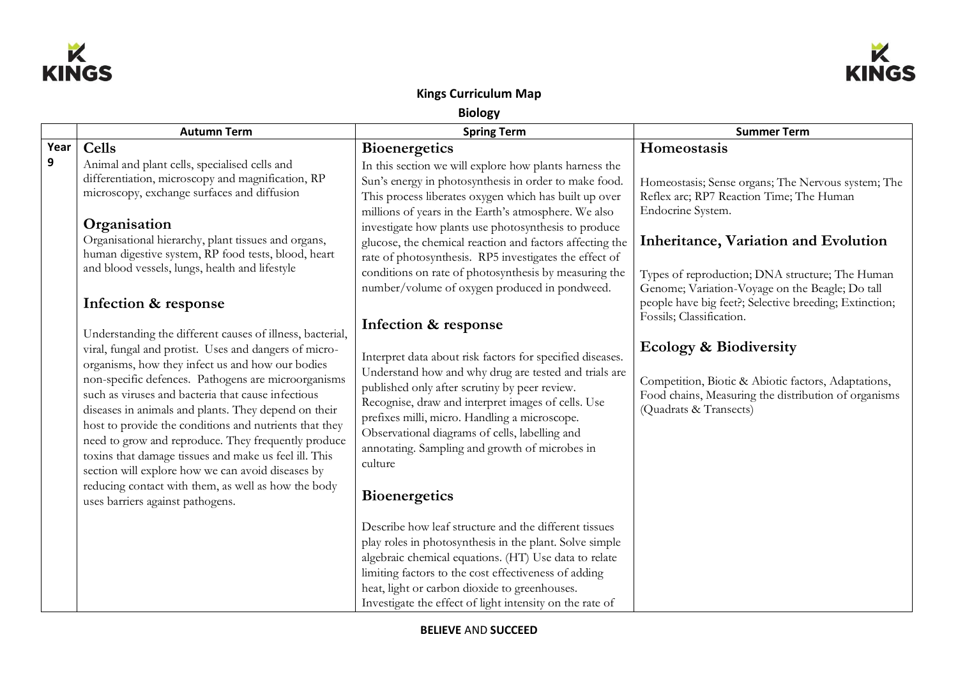



## **Kings Curriculum Map**

**Biology**

|      | <b>Autumn Term</b>                                                                                                                                                                                                                                                                                                                                                                                                                                                                                                                                                                                                                                                    | <b>Spring Term</b>                                                                                                                                                                                                                                                                                                                                                                                                                        | <b>Summer Term</b>                                                                                                                                                         |
|------|-----------------------------------------------------------------------------------------------------------------------------------------------------------------------------------------------------------------------------------------------------------------------------------------------------------------------------------------------------------------------------------------------------------------------------------------------------------------------------------------------------------------------------------------------------------------------------------------------------------------------------------------------------------------------|-------------------------------------------------------------------------------------------------------------------------------------------------------------------------------------------------------------------------------------------------------------------------------------------------------------------------------------------------------------------------------------------------------------------------------------------|----------------------------------------------------------------------------------------------------------------------------------------------------------------------------|
| Year | Cells                                                                                                                                                                                                                                                                                                                                                                                                                                                                                                                                                                                                                                                                 |                                                                                                                                                                                                                                                                                                                                                                                                                                           |                                                                                                                                                                            |
| 9    | Animal and plant cells, specialised cells and                                                                                                                                                                                                                                                                                                                                                                                                                                                                                                                                                                                                                         | <b>Bioenergetics</b><br>In this section we will explore how plants harness the                                                                                                                                                                                                                                                                                                                                                            | Homeostasis                                                                                                                                                                |
|      | differentiation, microscopy and magnification, RP<br>microscopy, exchange surfaces and diffusion<br>Organisation                                                                                                                                                                                                                                                                                                                                                                                                                                                                                                                                                      | Sun's energy in photosynthesis in order to make food.<br>This process liberates oxygen which has built up over<br>millions of years in the Earth's atmosphere. We also<br>investigate how plants use photosynthesis to produce                                                                                                                                                                                                            | Homeostasis; Sense organs; The Nervous system; The<br>Reflex arc; RP7 Reaction Time; The Human<br>Endocrine System.                                                        |
|      | Organisational hierarchy, plant tissues and organs,<br>human digestive system, RP food tests, blood, heart<br>and blood vessels, lungs, health and lifestyle                                                                                                                                                                                                                                                                                                                                                                                                                                                                                                          | glucose, the chemical reaction and factors affecting the<br>rate of photosynthesis. RP5 investigates the effect of<br>conditions on rate of photosynthesis by measuring the                                                                                                                                                                                                                                                               | Inheritance, Variation and Evolution<br>Types of reproduction; DNA structure; The Human                                                                                    |
|      | Infection & response                                                                                                                                                                                                                                                                                                                                                                                                                                                                                                                                                                                                                                                  | number/volume of oxygen produced in pondweed.                                                                                                                                                                                                                                                                                                                                                                                             | Genome; Variation-Voyage on the Beagle; Do tall<br>people have big feet?; Selective breeding; Extinction;<br>Fossils; Classification.                                      |
|      | Understanding the different causes of illness, bacterial,<br>viral, fungal and protist. Uses and dangers of micro-<br>organisms, how they infect us and how our bodies<br>non-specific defences. Pathogens are microorganisms<br>such as viruses and bacteria that cause infectious<br>diseases in animals and plants. They depend on their<br>host to provide the conditions and nutrients that they<br>need to grow and reproduce. They frequently produce<br>toxins that damage tissues and make us feel ill. This<br>section will explore how we can avoid diseases by<br>reducing contact with them, as well as how the body<br>uses barriers against pathogens. | Infection & response<br>Interpret data about risk factors for specified diseases.<br>Understand how and why drug are tested and trials are<br>published only after scrutiny by peer review.<br>Recognise, draw and interpret images of cells. Use<br>prefixes milli, micro. Handling a microscope.<br>Observational diagrams of cells, labelling and<br>annotating. Sampling and growth of microbes in<br>culture<br><b>Bioenergetics</b> | <b>Ecology &amp; Biodiversity</b><br>Competition, Biotic & Abiotic factors, Adaptations,<br>Food chains, Measuring the distribution of organisms<br>(Quadrats & Transects) |
|      |                                                                                                                                                                                                                                                                                                                                                                                                                                                                                                                                                                                                                                                                       | Describe how leaf structure and the different tissues<br>play roles in photosynthesis in the plant. Solve simple<br>algebraic chemical equations. (HT) Use data to relate<br>limiting factors to the cost effectiveness of adding<br>heat, light or carbon dioxide to greenhouses.<br>Investigate the effect of light intensity on the rate of                                                                                            |                                                                                                                                                                            |

**BELIEVE** AND **SUCCEED**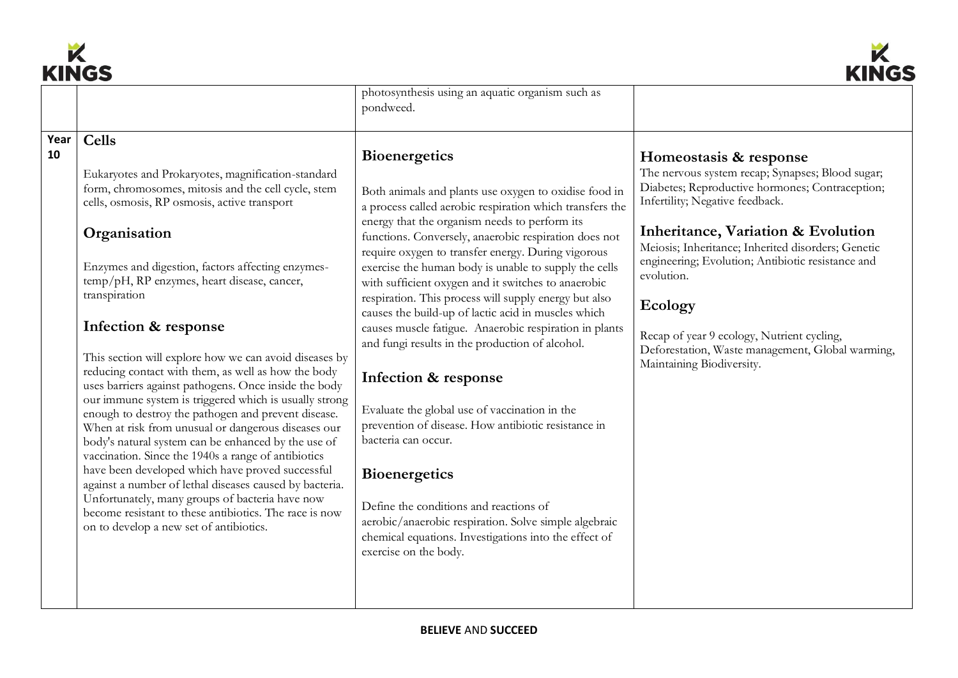



|            | NINVY                                                                                                                                                                                                                                                                                                                                                                                                                                                                                                                                                                                                                                                                                                                                                                                                                                                                                                                                                                                                                                                                         |                                                                                                                                                                                                                                                                                                                                                                                                                                                                                                                                                                                                                                                                                                                                                                                                                                                                                                                                                                                                                            | muv                                                                                                                                                                                                                                                                                                                                                                                                                                                                       |
|------------|-------------------------------------------------------------------------------------------------------------------------------------------------------------------------------------------------------------------------------------------------------------------------------------------------------------------------------------------------------------------------------------------------------------------------------------------------------------------------------------------------------------------------------------------------------------------------------------------------------------------------------------------------------------------------------------------------------------------------------------------------------------------------------------------------------------------------------------------------------------------------------------------------------------------------------------------------------------------------------------------------------------------------------------------------------------------------------|----------------------------------------------------------------------------------------------------------------------------------------------------------------------------------------------------------------------------------------------------------------------------------------------------------------------------------------------------------------------------------------------------------------------------------------------------------------------------------------------------------------------------------------------------------------------------------------------------------------------------------------------------------------------------------------------------------------------------------------------------------------------------------------------------------------------------------------------------------------------------------------------------------------------------------------------------------------------------------------------------------------------------|---------------------------------------------------------------------------------------------------------------------------------------------------------------------------------------------------------------------------------------------------------------------------------------------------------------------------------------------------------------------------------------------------------------------------------------------------------------------------|
|            |                                                                                                                                                                                                                                                                                                                                                                                                                                                                                                                                                                                                                                                                                                                                                                                                                                                                                                                                                                                                                                                                               | photosynthesis using an aquatic organism such as<br>pondweed.                                                                                                                                                                                                                                                                                                                                                                                                                                                                                                                                                                                                                                                                                                                                                                                                                                                                                                                                                              |                                                                                                                                                                                                                                                                                                                                                                                                                                                                           |
| Year<br>10 | <b>Cells</b><br>Eukaryotes and Prokaryotes, magnification-standard<br>form, chromosomes, mitosis and the cell cycle, stem<br>cells, osmosis, RP osmosis, active transport<br>Organisation<br>Enzymes and digestion, factors affecting enzymes-<br>temp/pH, RP enzymes, heart disease, cancer,<br>transpiration<br>Infection & response<br>This section will explore how we can avoid diseases by<br>reducing contact with them, as well as how the body<br>uses barriers against pathogens. Once inside the body<br>our immune system is triggered which is usually strong<br>enough to destroy the pathogen and prevent disease.<br>When at risk from unusual or dangerous diseases our<br>body's natural system can be enhanced by the use of<br>vaccination. Since the 1940s a range of antibiotics<br>have been developed which have proved successful<br>against a number of lethal diseases caused by bacteria.<br>Unfortunately, many groups of bacteria have now<br>become resistant to these antibiotics. The race is now<br>on to develop a new set of antibiotics. | <b>Bioenergetics</b><br>Both animals and plants use oxygen to oxidise food in<br>a process called aerobic respiration which transfers the<br>energy that the organism needs to perform its<br>functions. Conversely, anaerobic respiration does not<br>require oxygen to transfer energy. During vigorous<br>exercise the human body is unable to supply the cells<br>with sufficient oxygen and it switches to anaerobic<br>respiration. This process will supply energy but also<br>causes the build-up of lactic acid in muscles which<br>causes muscle fatigue. Anaerobic respiration in plants<br>and fungi results in the production of alcohol.<br>Infection & response<br>Evaluate the global use of vaccination in the<br>prevention of disease. How antibiotic resistance in<br>bacteria can occur.<br><b>Bioenergetics</b><br>Define the conditions and reactions of<br>aerobic/anaerobic respiration. Solve simple algebraic<br>chemical equations. Investigations into the effect of<br>exercise on the body. | Homeostasis & response<br>The nervous system recap; Synapses; Blood sugar;<br>Diabetes; Reproductive hormones; Contraception;<br>Infertility; Negative feedback.<br>Inheritance, Variation & Evolution<br>Meiosis; Inheritance; Inherited disorders; Genetic<br>engineering; Evolution; Antibiotic resistance and<br>evolution.<br>Ecology<br>Recap of year 9 ecology, Nutrient cycling,<br>Deforestation, Waste management, Global warming,<br>Maintaining Biodiversity. |
|            |                                                                                                                                                                                                                                                                                                                                                                                                                                                                                                                                                                                                                                                                                                                                                                                                                                                                                                                                                                                                                                                                               |                                                                                                                                                                                                                                                                                                                                                                                                                                                                                                                                                                                                                                                                                                                                                                                                                                                                                                                                                                                                                            |                                                                                                                                                                                                                                                                                                                                                                                                                                                                           |